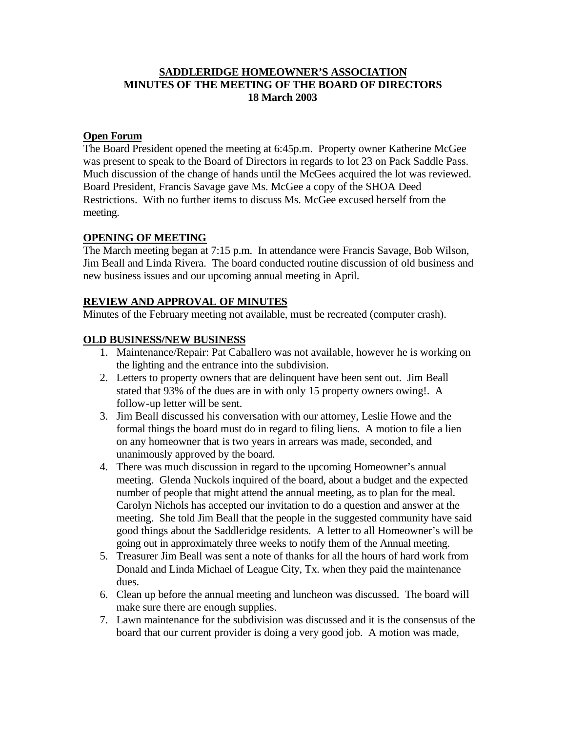#### **SADDLERIDGE HOMEOWNER'S ASSOCIATION MINUTES OF THE MEETING OF THE BOARD OF DIRECTORS 18 March 2003**

### **Open Forum**

The Board President opened the meeting at 6:45p.m. Property owner Katherine McGee was present to speak to the Board of Directors in regards to lot 23 on Pack Saddle Pass. Much discussion of the change of hands until the McGees acquired the lot was reviewed. Board President, Francis Savage gave Ms. McGee a copy of the SHOA Deed Restrictions. With no further items to discuss Ms. McGee excused herself from the meeting.

### **OPENING OF MEETING**

The March meeting began at 7:15 p.m. In attendance were Francis Savage, Bob Wilson, Jim Beall and Linda Rivera. The board conducted routine discussion of old business and new business issues and our upcoming annual meeting in April.

### **REVIEW AND APPROVAL OF MINUTES**

Minutes of the February meeting not available, must be recreated (computer crash).

# **OLD BUSINESS/NEW BUSINESS**

- 1. Maintenance/Repair: Pat Caballero was not available, however he is working on the lighting and the entrance into the subdivision.
- 2. Letters to property owners that are delinquent have been sent out. Jim Beall stated that 93% of the dues are in with only 15 property owners owing!. A follow-up letter will be sent.
- 3. Jim Beall discussed his conversation with our attorney, Leslie Howe and the formal things the board must do in regard to filing liens. A motion to file a lien on any homeowner that is two years in arrears was made, seconded, and unanimously approved by the board.
- 4. There was much discussion in regard to the upcoming Homeowner's annual meeting. Glenda Nuckols inquired of the board, about a budget and the expected number of people that might attend the annual meeting, as to plan for the meal. Carolyn Nichols has accepted our invitation to do a question and answer at the meeting. She told Jim Beall that the people in the suggested community have said good things about the Saddleridge residents. A letter to all Homeowner's will be going out in approximately three weeks to notify them of the Annual meeting.
- 5. Treasurer Jim Beall was sent a note of thanks for all the hours of hard work from Donald and Linda Michael of League City, Tx. when they paid the maintenance dues.
- 6. Clean up before the annual meeting and luncheon was discussed. The board will make sure there are enough supplies.
- 7. Lawn maintenance for the subdivision was discussed and it is the consensus of the board that our current provider is doing a very good job. A motion was made,